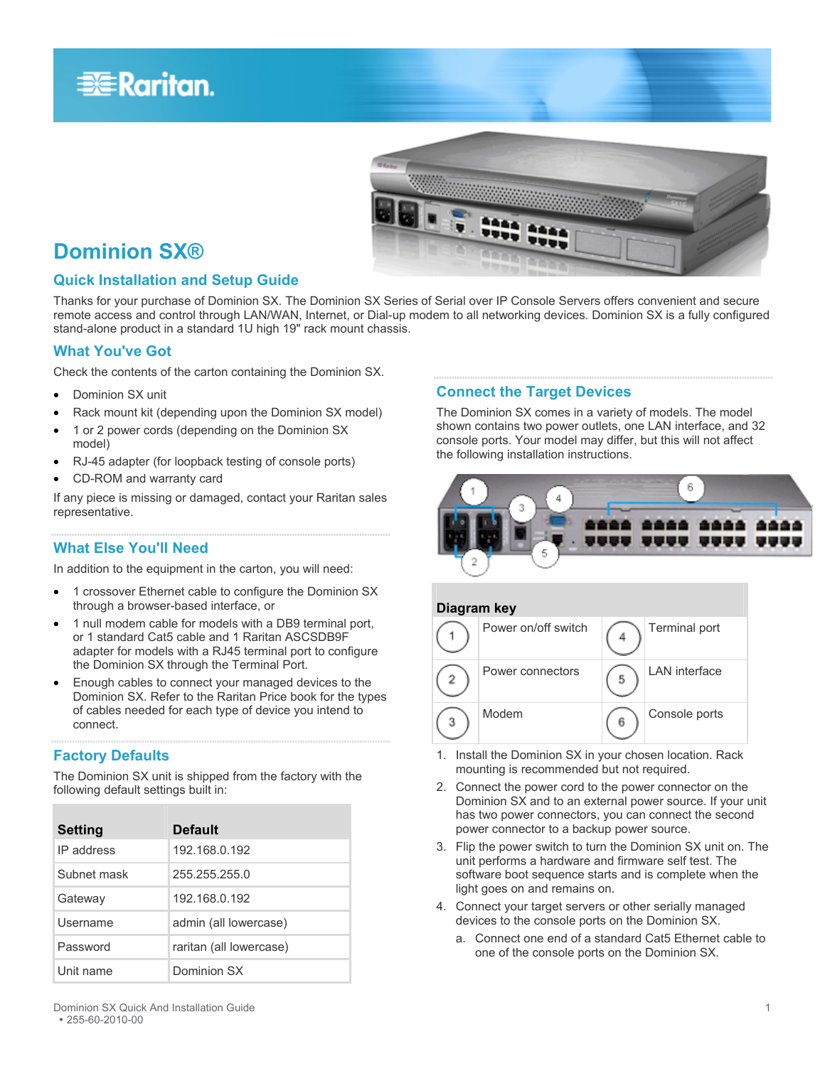# **EXERGRITAIN**



# **Dominion SX®**

### **Quick Installation and Setup Guide**

Thanks for your purchase of Dominion SX. The Dominion SX Series of Serial over IP Console Servers offers convenient and secure remote access and control through LAN/WAN, Internet, or Dial-up modem to all networking devices. Dominion SX is a fully configured stand-alone product in a standard 1U high 19" rack mount chassis.

### **What You've Got**

Check the contents of the carton containing the Dominion SX.

- Dominion SX unit
- Rack mount kit (depending upon the Dominion SX model)
- 1 or 2 power cords (depending on the Dominion SX model)
- RJ-45 adapter (for loopback testing of console ports)
- CD-ROM and warranty card

If any piece is missing or damaged, contact your Raritan sales representative.

### **What Else You'll Need**

In addition to the equipment in the carton, you will need:

- 1 crossover Ethernet cable to configure the Dominion SX through a browser-based interface, or
- 1 null modem cable for models with a DB9 terminal port, or 1 standard Cat5 cable and 1 Raritan ASCSDB9F adapter for models with a RJ45 terminal port to configure the Dominion SX through the Terminal Port.
- Enough cables to connect your managed devices to the Dominion SX. Refer to the Raritan Price book for the types of cables needed for each type of device you intend to connect.

## **Factory Defaults**

The Dominion SX unit is shipped from the factory with the following default settings built in:

| <b>Setting</b> | <b>Default</b>          |
|----------------|-------------------------|
| IP address     | 192.168.0.192           |
| Subnet mask    | 255 255 255 0           |
| Gateway        | 192.168.0.192           |
| Username       | admin (all lowercase)   |
| Password       | raritan (all lowercase) |
| Unit name      | Dominion SX             |

# **Connect the Target Devices**

The Dominion SX comes in a variety of models. The model shown contains two power outlets, one LAN interface, and 32 console ports. Your model may differ, but this will not affect the following installation instructions.





- 1. Install the Dominion SX in your chosen location. Rack mounting is recommended but not required.
- 2. Connect the power cord to the power connector on the Dominion SX and to an external power source. If your unit has two power connectors, you can connect the second power connector to a backup power source.
- 3. Flip the power switch to turn the Dominion SX unit on. The unit performs a hardware and firmware self test. The software boot sequence starts and is complete when the light goes on and remains on.
- 4. Connect your target servers or other serially managed devices to the console ports on the Dominion SX.
	- a. Connect one end of a standard Cat5 Ethernet cable to one of the console ports on the Dominion SX.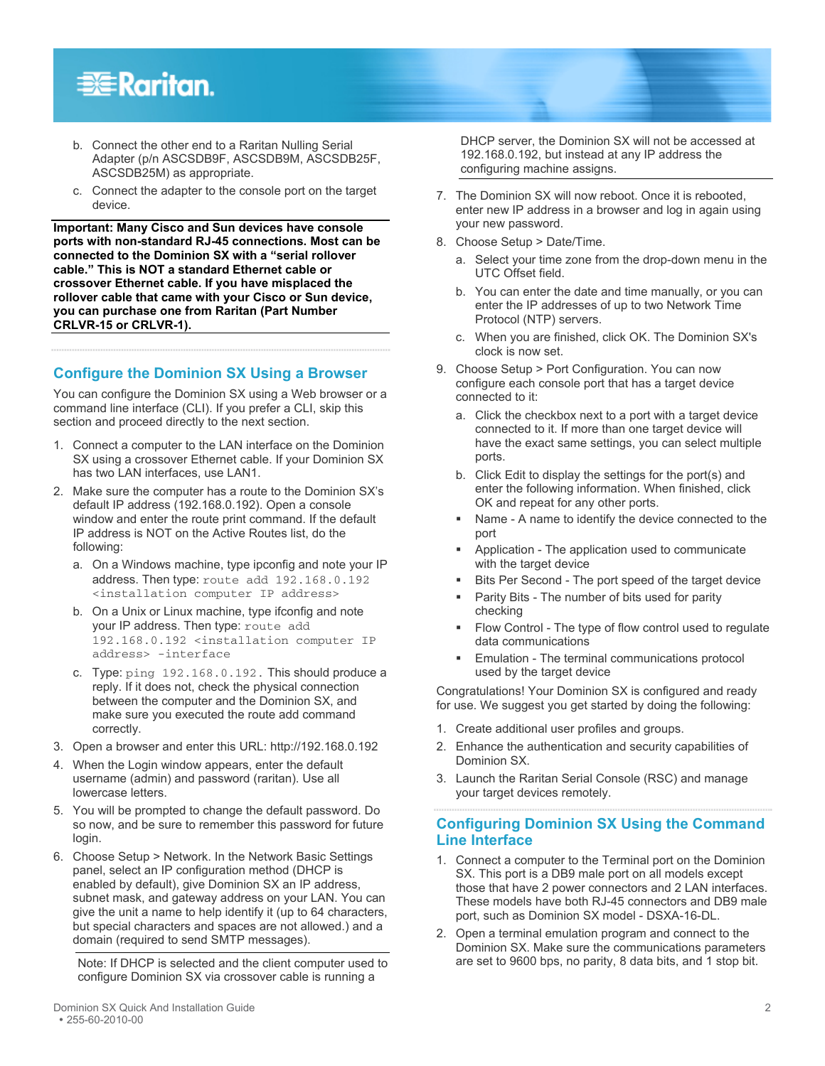

- b. Connect the other end to a Raritan Nulling Serial Adapter (p/n ASCSDB9F, ASCSDB9M, ASCSDB25F, ASCSDB25M) as appropriate.
- c. Connect the adapter to the console port on the target device.

**Important: Many Cisco and Sun devices have console ports with non-standard RJ-45 connections. Most can be connected to the Dominion SX with a "serial rollover cable." This is NOT a standard Ethernet cable or crossover Ethernet cable. If you have misplaced the rollover cable that came with your Cisco or Sun device, you can purchase one from Raritan (Part Number CRLVR-15 or CRLVR-1).** 

#### **Configure the Dominion SX Using a Browser**

You can configure the Dominion SX using a Web browser or a command line interface (CLI). If you prefer a CLI, skip this section and proceed directly to the next section.

- 1. Connect a computer to the LAN interface on the Dominion SX using a crossover Ethernet cable. If your Dominion SX has two LAN interfaces, use LAN1.
- 2. Make sure the computer has a route to the Dominion SX's default IP address (192.168.0.192). Open a console window and enter the route print command. If the default IP address is NOT on the Active Routes list, do the following:
	- a. On a Windows machine, type ipconfig and note your IP address. Then type: route add 192.168.0.192 <installation computer IP address>
	- b. On a Unix or Linux machine, type ifconfig and note your IP address. Then type: route add 192.168.0.192 <installation computer IP address> -interface
	- c. Type: ping 192.168.0.192. This should produce a reply. If it does not, check the physical connection between the computer and the Dominion SX, and make sure you executed the route add command correctly.
- 3. Open a browser and enter this URL: http://192.168.0.192
- 4. When the Login window appears, enter the default username (admin) and password (raritan). Use all lowercase letters.
- 5. You will be prompted to change the default password. Do so now, and be sure to remember this password for future login.
- 6. Choose Setup > Network. In the Network Basic Settings panel, select an IP configuration method (DHCP is enabled by default), give Dominion SX an IP address, subnet mask, and gateway address on your LAN. You can give the unit a name to help identify it (up to 64 characters, but special characters and spaces are not allowed.) and a domain (required to send SMTP messages).

Note: If DHCP is selected and the client computer used to configure Dominion SX via crossover cable is running a

DHCP server, the Dominion SX will not be accessed at 192.168.0.192, but instead at any IP address the configuring machine assigns.

- 7. The Dominion SX will now reboot. Once it is rebooted, enter new IP address in a browser and log in again using your new password.
- 8. Choose Setup > Date/Time.
	- a. Select your time zone from the drop-down menu in the UTC Offset field.
	- b. You can enter the date and time manually, or you can enter the IP addresses of up to two Network Time Protocol (NTP) servers.
	- c. When you are finished, click OK. The Dominion SX's clock is now set.
- 9. Choose Setup > Port Configuration. You can now configure each console port that has a target device connected to it:
	- a. Click the checkbox next to a port with a target device connected to it. If more than one target device will have the exact same settings, you can select multiple ports.
	- b. Click Edit to display the settings for the port(s) and enter the following information. When finished, click OK and repeat for any other ports.
	- Name A name to identify the device connected to the port
	- Application The application used to communicate with the target device
	- Bits Per Second The port speed of the target device
	- Parity Bits The number of bits used for parity checking
	- **Flow Control The type of flow control used to regulate** data communications
	- Emulation The terminal communications protocol used by the target device

Congratulations! Your Dominion SX is configured and ready for use. We suggest you get started by doing the following:

- 1. Create additional user profiles and groups.
- 2. Enhance the authentication and security capabilities of Dominion SX.
- 3. Launch the Raritan Serial Console (RSC) and manage your target devices remotely.

#### **Configuring Dominion SX Using the Command Line Interface**

- 1. Connect a computer to the Terminal port on the Dominion SX. This port is a DB9 male port on all models except those that have 2 power connectors and 2 LAN interfaces. These models have both RJ-45 connectors and DB9 male port, such as Dominion SX model - DSXA-16-DL.
- 2. Open a terminal emulation program and connect to the Dominion SX. Make sure the communications parameters are set to 9600 bps, no parity, 8 data bits, and 1 stop bit.